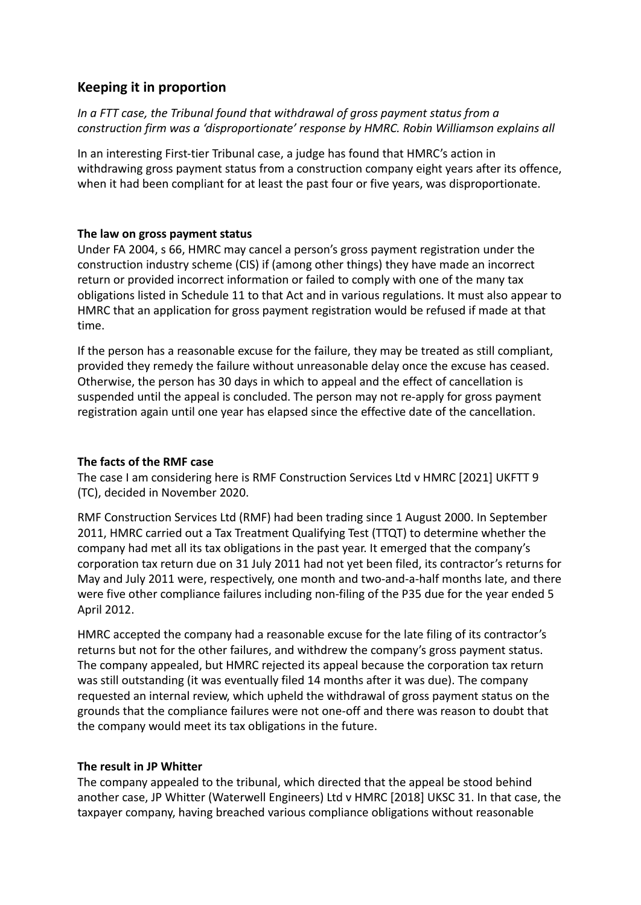# **Keeping it in proportion**

## *In a FTT case, the Tribunal found that withdrawal of gross payment status from a construction firm was a 'disproportionate' response by HMRC. Robin Williamson explains all*

In an interesting First-tier Tribunal case, a judge has found that HMRC's action in withdrawing gross payment status from a construction company eight years after its offence, when it had been compliant for at least the past four or five years, was disproportionate.

## **The law on gross payment status**

Under FA 2004, s 66, HMRC may cancel a person's gross payment registration under the construction industry scheme (CIS) if (among other things) they have made an incorrect return or provided incorrect information or failed to comply with one of the many tax obligations listed in Schedule 11 to that Act and in various regulations. It must also appear to HMRC that an application for gross payment registration would be refused if made at that time.

If the person has a reasonable excuse for the failure, they may be treated as still compliant, provided they remedy the failure without unreasonable delay once the excuse has ceased. Otherwise, the person has 30 days in which to appeal and the effect of cancellation is suspended until the appeal is concluded. The person may not re-apply for gross payment registration again until one year has elapsed since the effective date of the cancellation.

## **The facts of the RMF case**

The case I am considering here is RMF Construction Services Ltd v HMRC [2021] UKFTT 9 (TC), decided in November 2020.

RMF Construction Services Ltd (RMF) had been trading since 1 August 2000. In September 2011, HMRC carried out a Tax Treatment Qualifying Test (TTQT) to determine whether the company had met all its tax obligations in the past year. It emerged that the company's corporation tax return due on 31 July 2011 had not yet been filed, its contractor's returns for May and July 2011 were, respectively, one month and two-and-a-half months late, and there were five other compliance failures including non-filing of the P35 due for the year ended 5 April 2012.

HMRC accepted the company had a reasonable excuse for the late filing of its contractor's returns but not for the other failures, and withdrew the company's gross payment status. The company appealed, but HMRC rejected its appeal because the corporation tax return was still outstanding (it was eventually filed 14 months after it was due). The company requested an internal review, which upheld the withdrawal of gross payment status on the grounds that the compliance failures were not one-off and there was reason to doubt that the company would meet its tax obligations in the future.

## **The result in JP Whitter**

The company appealed to the tribunal, which directed that the appeal be stood behind another case, JP Whitter (Waterwell Engineers) Ltd v HMRC [2018] UKSC 31. In that case, the taxpayer company, having breached various compliance obligations without reasonable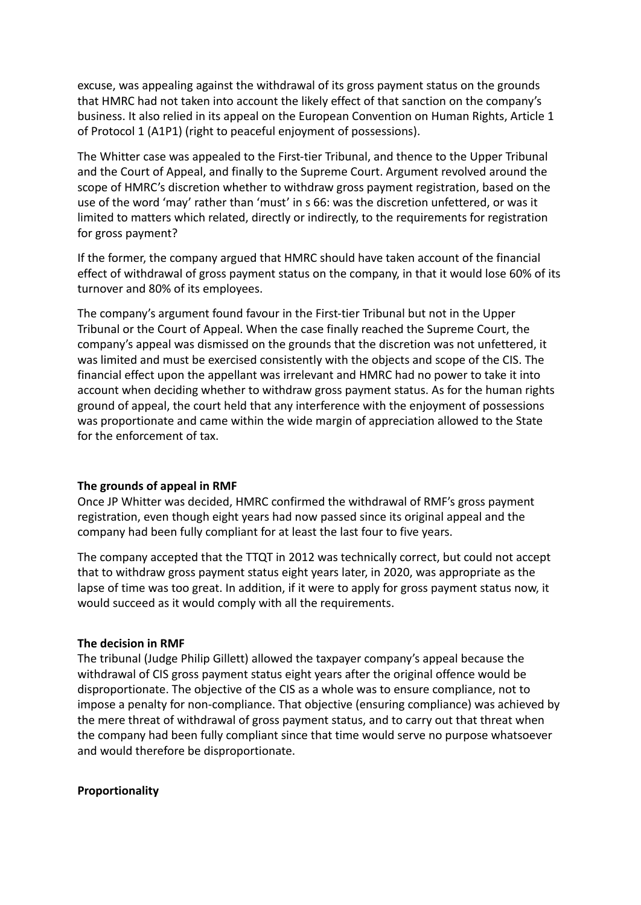excuse, was appealing against the withdrawal of its gross payment status on the grounds that HMRC had not taken into account the likely effect of that sanction on the company's business. It also relied in its appeal on the European Convention on Human Rights, Article 1 of Protocol 1 (A1P1) (right to peaceful enjoyment of possessions).

The Whitter case was appealed to the First-tier Tribunal, and thence to the Upper Tribunal and the Court of Appeal, and finally to the Supreme Court. Argument revolved around the scope of HMRC's discretion whether to withdraw gross payment registration, based on the use of the word 'may' rather than 'must' in s 66: was the discretion unfettered, or was it limited to matters which related, directly or indirectly, to the requirements for registration for gross payment?

If the former, the company argued that HMRC should have taken account of the financial effect of withdrawal of gross payment status on the company, in that it would lose 60% of its turnover and 80% of its employees.

The company's argument found favour in the First-tier Tribunal but not in the Upper Tribunal or the Court of Appeal. When the case finally reached the Supreme Court, the company's appeal was dismissed on the grounds that the discretion was not unfettered, it was limited and must be exercised consistently with the objects and scope of the CIS. The financial effect upon the appellant was irrelevant and HMRC had no power to take it into account when deciding whether to withdraw gross payment status. As for the human rights ground of appeal, the court held that any interference with the enjoyment of possessions was proportionate and came within the wide margin of appreciation allowed to the State for the enforcement of tax.

#### **The grounds of appeal in RMF**

Once JP Whitter was decided, HMRC confirmed the withdrawal of RMF's gross payment registration, even though eight years had now passed since its original appeal and the company had been fully compliant for at least the last four to five years.

The company accepted that the TTQT in 2012 was technically correct, but could not accept that to withdraw gross payment status eight years later, in 2020, was appropriate as the lapse of time was too great. In addition, if it were to apply for gross payment status now, it would succeed as it would comply with all the requirements.

#### **The decision in RMF**

The tribunal (Judge Philip Gillett) allowed the taxpayer company's appeal because the withdrawal of CIS gross payment status eight years after the original offence would be disproportionate. The objective of the CIS as a whole was to ensure compliance, not to impose a penalty for non-compliance. That objective (ensuring compliance) was achieved by the mere threat of withdrawal of gross payment status, and to carry out that threat when the company had been fully compliant since that time would serve no purpose whatsoever and would therefore be disproportionate.

#### **Proportionality**